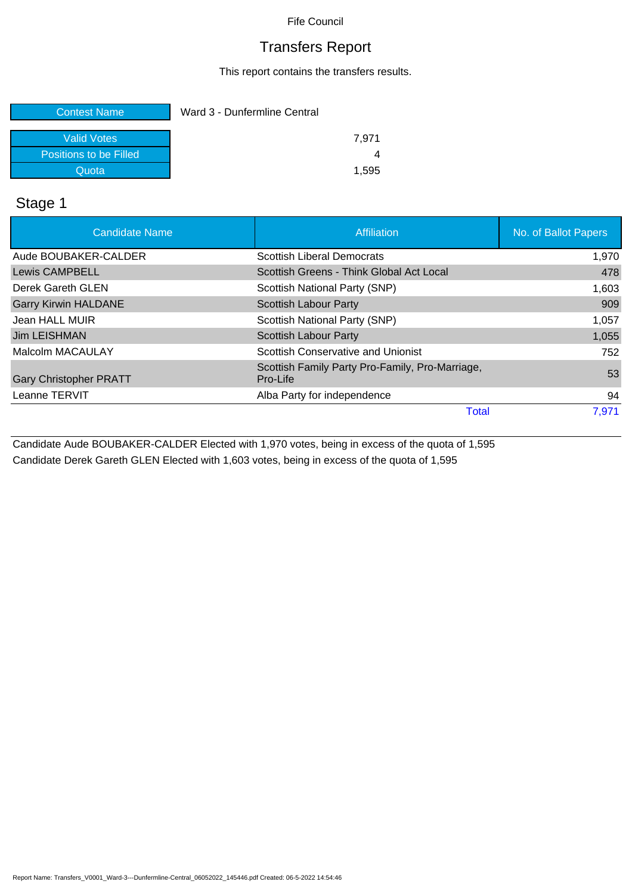## Transfers Report

This report contains the transfers results.

| <b>Contest Name</b>    | Ward 3 - Dunfermline Central |  |
|------------------------|------------------------------|--|
| Valid Votes            | 7.971                        |  |
| Positions to be Filled |                              |  |
| Quota                  | 1.595                        |  |

#### Stage 1

| <b>Candidate Name</b>         | <b>Affiliation</b>                                          | No. of Ballot Papers |
|-------------------------------|-------------------------------------------------------------|----------------------|
| Aude BOUBAKER-CALDER          | <b>Scottish Liberal Democrats</b>                           | 1,970                |
| <b>Lewis CAMPBELL</b>         | Scottish Greens - Think Global Act Local                    | 478                  |
| Derek Gareth GLEN             | Scottish National Party (SNP)                               | 1,603                |
| <b>Garry Kirwin HALDANE</b>   | <b>Scottish Labour Party</b>                                | 909                  |
| Jean HALL MUIR                | Scottish National Party (SNP)                               | 1,057                |
| Jim LEISHMAN                  | <b>Scottish Labour Party</b>                                | 1,055                |
| Malcolm MACAULAY              | Scottish Conservative and Unionist                          | 752                  |
| <b>Gary Christopher PRATT</b> | Scottish Family Party Pro-Family, Pro-Marriage,<br>Pro-Life | 53                   |
| Leanne TERVIT                 | Alba Party for independence                                 | 94                   |
|                               | Total                                                       | 7,971                |

Candidate Aude BOUBAKER-CALDER Elected with 1,970 votes, being in excess of the quota of 1,595 Candidate Derek Gareth GLEN Elected with 1,603 votes, being in excess of the quota of 1,595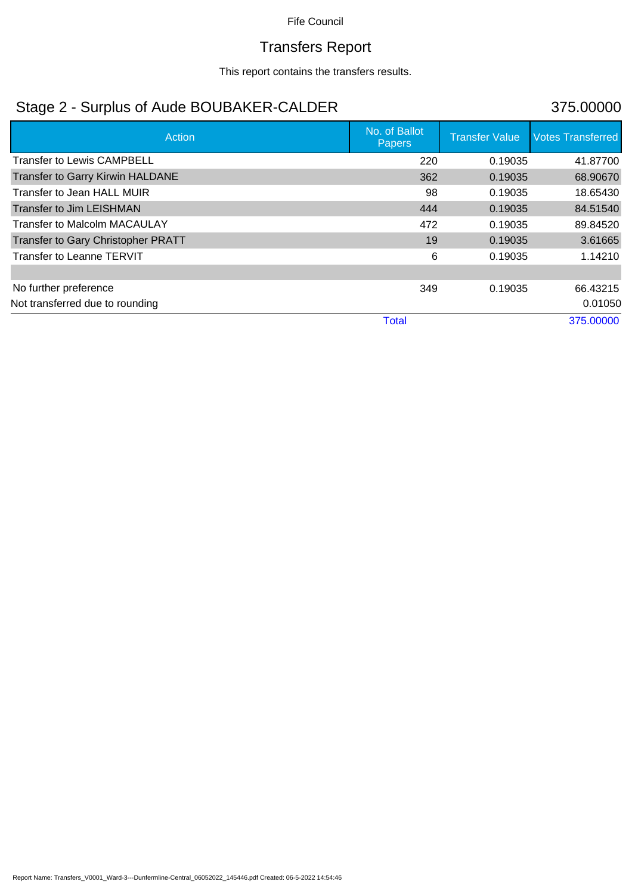# Transfers Report

This report contains the transfers results.

## Stage 2 - Surplus of Aude BOUBAKER-CALDER 375.00000

| Action                             | No. of Ballot<br>Papers | <b>Transfer Value</b> | <b>Votes Transferred</b> |
|------------------------------------|-------------------------|-----------------------|--------------------------|
| <b>Transfer to Lewis CAMPBELL</b>  | 220                     | 0.19035               | 41.87700                 |
| Transfer to Garry Kirwin HALDANE   | 362                     | 0.19035               | 68.90670                 |
| Transfer to Jean HALL MUIR         | 98                      | 0.19035               | 18.65430                 |
| <b>Transfer to Jim LEISHMAN</b>    | 444                     | 0.19035               | 84.51540                 |
| Transfer to Malcolm MACAULAY       | 472                     | 0.19035               | 89.84520                 |
| Transfer to Gary Christopher PRATT | 19                      | 0.19035               | 3.61665                  |
| Transfer to Leanne TERVIT          | 6                       | 0.19035               | 1.14210                  |
|                                    |                         |                       |                          |
| No further preference              | 349                     | 0.19035               | 66.43215                 |
| Not transferred due to rounding    |                         |                       | 0.01050                  |
|                                    | <b>Total</b>            |                       | 375.00000                |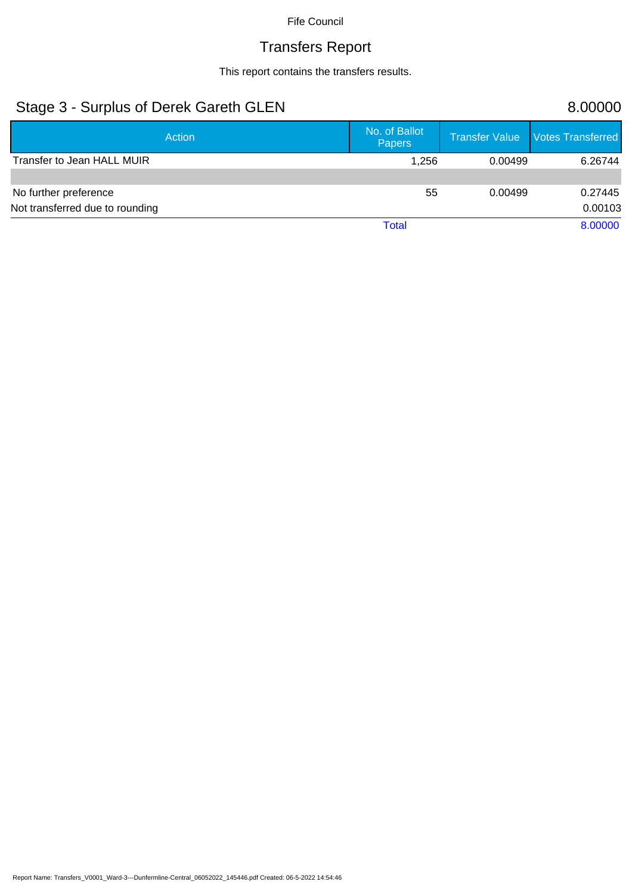# Transfers Report

This report contains the transfers results.

## Stage 3 - Surplus of Derek Gareth GLEN 8.00000

| Action                          | No. of Ballot<br><b>Papers</b> |         | Transfer Value   Votes Transferred |
|---------------------------------|--------------------------------|---------|------------------------------------|
| Transfer to Jean HALL MUIR      | 1,256                          | 0.00499 | 6.26744                            |
|                                 |                                |         |                                    |
| No further preference           | 55                             | 0.00499 | 0.27445                            |
| Not transferred due to rounding |                                |         | 0.00103                            |
|                                 | <b>Total</b>                   |         | 8.00000                            |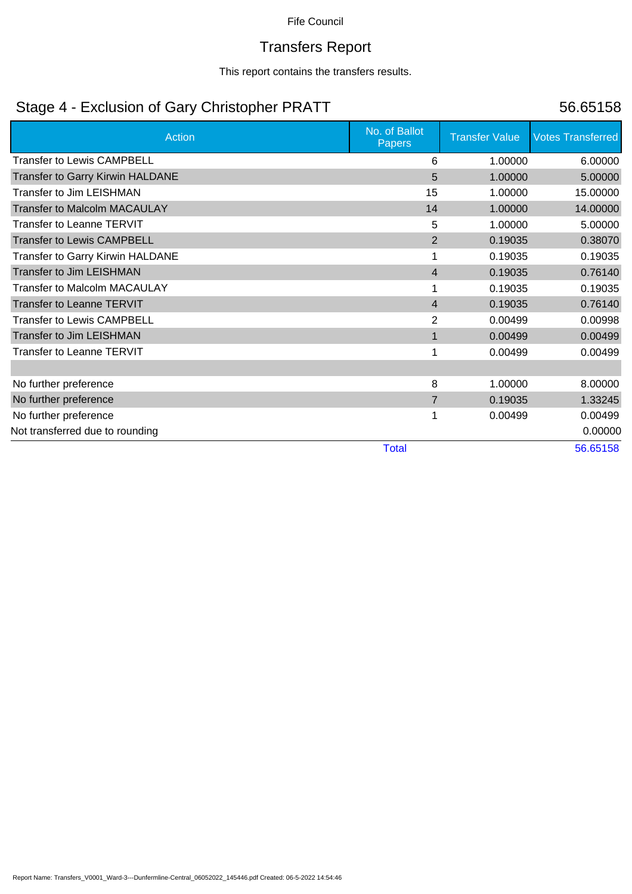# Transfers Report

This report contains the transfers results.

## Stage 4 - Exclusion of Gary Christopher PRATT 56.65158

| <b>Action</b>                           | No. of Ballot<br><b>Papers</b> | <b>Transfer Value</b> | <b>Votes Transferred</b> |
|-----------------------------------------|--------------------------------|-----------------------|--------------------------|
| <b>Transfer to Lewis CAMPBELL</b>       | 6                              | 1.00000               | 6.00000                  |
| Transfer to Garry Kirwin HALDANE        | 5                              | 1.00000               | 5.00000                  |
| <b>Transfer to Jim LEISHMAN</b>         | 15                             | 1.00000               | 15.00000                 |
| <b>Transfer to Malcolm MACAULAY</b>     | 14                             | 1.00000               | 14.00000                 |
| Transfer to Leanne TERVIT               | 5                              | 1.00000               | 5.00000                  |
| <b>Transfer to Lewis CAMPBELL</b>       | $\overline{2}$                 | 0.19035               | 0.38070                  |
| <b>Transfer to Garry Kirwin HALDANE</b> |                                | 0.19035               | 0.19035                  |
| <b>Transfer to Jim LEISHMAN</b>         | $\overline{4}$                 | 0.19035               | 0.76140                  |
| Transfer to Malcolm MACAULAY            |                                | 0.19035               | 0.19035                  |
| <b>Transfer to Leanne TERVIT</b>        | $\overline{4}$                 | 0.19035               | 0.76140                  |
| <b>Transfer to Lewis CAMPBELL</b>       | $\overline{2}$                 | 0.00499               | 0.00998                  |
| <b>Transfer to Jim LEISHMAN</b>         | $\mathbf{1}$                   | 0.00499               | 0.00499                  |
| Transfer to Leanne TERVIT               |                                | 0.00499               | 0.00499                  |
|                                         |                                |                       |                          |
| No further preference                   | 8                              | 1.00000               | 8.00000                  |
| No further preference                   | 7                              | 0.19035               | 1.33245                  |
| No further preference                   |                                | 0.00499               | 0.00499                  |
| Not transferred due to rounding         |                                |                       | 0.00000                  |
|                                         | <b>Total</b>                   |                       | 56.65158                 |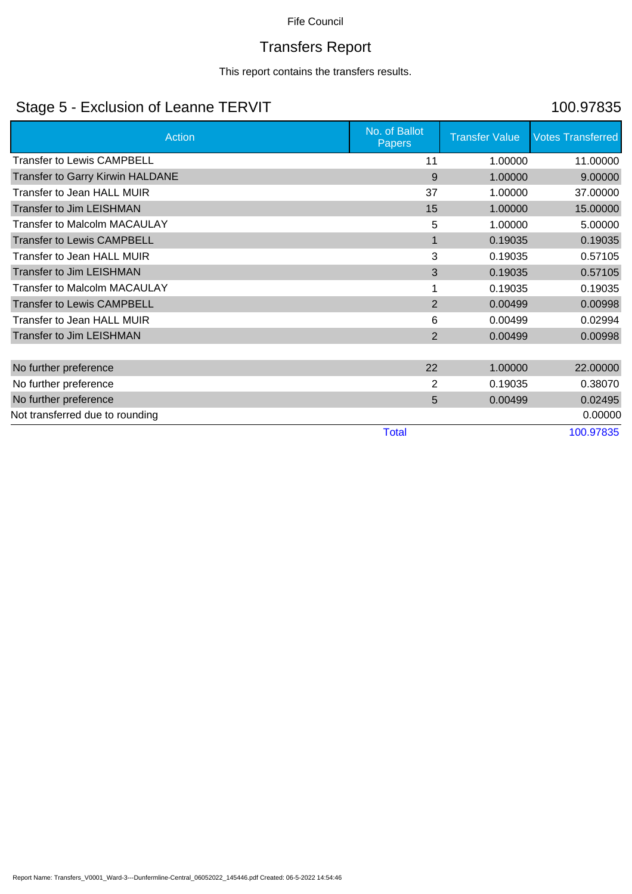# Transfers Report

This report contains the transfers results.

## Stage 5 - Exclusion of Leanne TERVIT 100.97835

| <b>Action</b>                       | No. of Ballot<br><b>Papers</b> | <b>Transfer Value</b> | <b>Votes Transferred</b> |
|-------------------------------------|--------------------------------|-----------------------|--------------------------|
| <b>Transfer to Lewis CAMPBELL</b>   | 11                             | 1.00000               | 11.00000                 |
| Transfer to Garry Kirwin HALDANE    | 9                              | 1.00000               | 9.00000                  |
| <b>Transfer to Jean HALL MUIR</b>   | 37                             | 1.00000               | 37.00000                 |
| <b>Transfer to Jim LEISHMAN</b>     | 15                             | 1.00000               | 15.00000                 |
| <b>Transfer to Malcolm MACAULAY</b> | 5                              | 1.00000               | 5.00000                  |
| <b>Transfer to Lewis CAMPBELL</b>   | 1                              | 0.19035               | 0.19035                  |
| Transfer to Jean HALL MUIR          | 3                              | 0.19035               | 0.57105                  |
| <b>Transfer to Jim LEISHMAN</b>     | 3                              | 0.19035               | 0.57105                  |
| <b>Transfer to Malcolm MACAULAY</b> |                                | 0.19035               | 0.19035                  |
| <b>Transfer to Lewis CAMPBELL</b>   | 2                              | 0.00499               | 0.00998                  |
| Transfer to Jean HALL MUIR          | 6                              | 0.00499               | 0.02994                  |
| <b>Transfer to Jim LEISHMAN</b>     | $\overline{2}$                 | 0.00499               | 0.00998                  |
|                                     |                                |                       |                          |
| No further preference               | 22                             | 1.00000               | 22.00000                 |
| No further preference               | 2                              | 0.19035               | 0.38070                  |
| No further preference               | 5                              | 0.00499               | 0.02495                  |
| Not transferred due to rounding     |                                |                       | 0.00000                  |
|                                     | <b>Total</b>                   |                       | 100.97835                |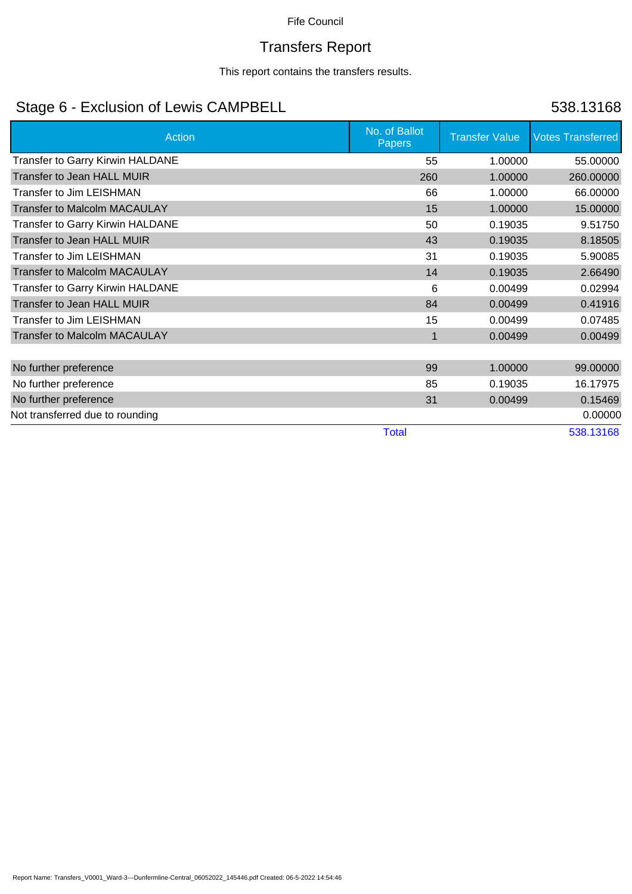# Transfers Report

This report contains the transfers results.

## Stage 6 - Exclusion of Lewis CAMPBELL 538.13168

| <b>Action</b>                           | No. of Ballot<br><b>Papers</b> | <b>Transfer Value</b> | <b>Votes Transferred</b> |
|-----------------------------------------|--------------------------------|-----------------------|--------------------------|
| Transfer to Garry Kirwin HALDANE        | 55                             | 1.00000               | 55.00000                 |
| <b>Transfer to Jean HALL MUIR</b>       | 260                            | 1.00000               | 260.00000                |
| <b>Transfer to Jim LEISHMAN</b>         | 66                             | 1.00000               | 66.00000                 |
| <b>Transfer to Malcolm MACAULAY</b>     | 15                             | 1.00000               | 15.00000                 |
| <b>Transfer to Garry Kirwin HALDANE</b> | 50                             | 0.19035               | 9.51750                  |
| <b>Transfer to Jean HALL MUIR</b>       | 43                             | 0.19035               | 8.18505                  |
| <b>Transfer to Jim LEISHMAN</b>         | 31                             | 0.19035               | 5.90085                  |
| <b>Transfer to Malcolm MACAULAY</b>     | 14                             | 0.19035               | 2.66490                  |
| <b>Transfer to Garry Kirwin HALDANE</b> | 6                              | 0.00499               | 0.02994                  |
| <b>Transfer to Jean HALL MUIR</b>       | 84                             | 0.00499               | 0.41916                  |
| Transfer to Jim LEISHMAN                | 15                             | 0.00499               | 0.07485                  |
| <b>Transfer to Malcolm MACAULAY</b>     | 1                              | 0.00499               | 0.00499                  |
|                                         |                                |                       |                          |
| No further preference                   | 99                             | 1.00000               | 99.00000                 |
| No further preference                   | 85                             | 0.19035               | 16.17975                 |
| No further preference                   | 31                             | 0.00499               | 0.15469                  |
| Not transferred due to rounding         |                                |                       | 0.00000                  |
|                                         | <b>Total</b>                   |                       | 538.13168                |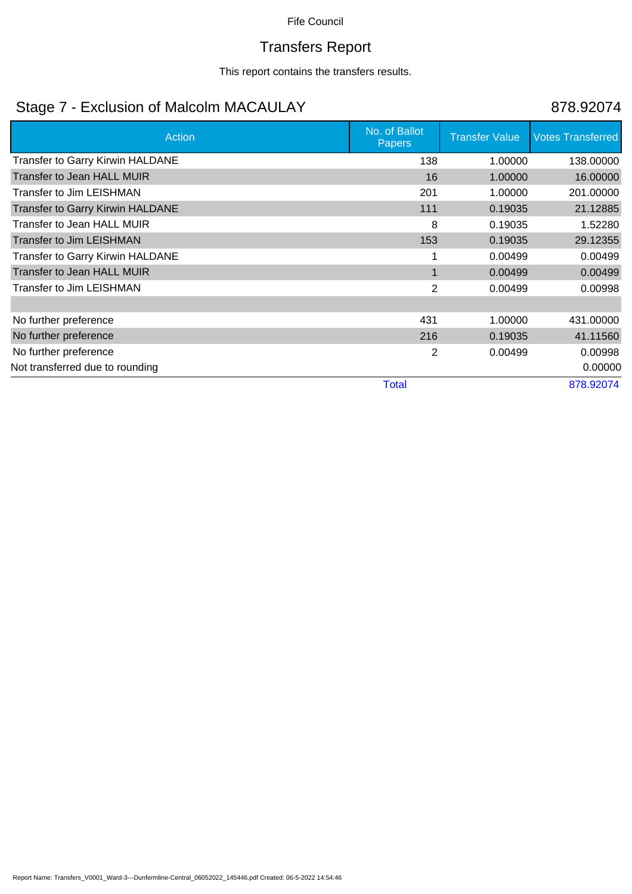# Transfers Report

This report contains the transfers results.

## Stage 7 - Exclusion of Malcolm MACAULAY 878.92074

| Action                                  | No. of Ballot<br><b>Papers</b> | <b>Transfer Value</b> | <b>Votes Transferred</b> |
|-----------------------------------------|--------------------------------|-----------------------|--------------------------|
| Transfer to Garry Kirwin HALDANE        | 138                            | 1.00000               | 138.00000                |
| Transfer to Jean HALL MUIR              | 16                             | 1.00000               | 16.00000                 |
| Transfer to Jim LEISHMAN                | 201                            | 1.00000               | 201.00000                |
| <b>Transfer to Garry Kirwin HALDANE</b> | 111                            | 0.19035               | 21.12885                 |
| Transfer to Jean HALL MUIR              | 8                              | 0.19035               | 1.52280                  |
| <b>Transfer to Jim LEISHMAN</b>         | 153                            | 0.19035               | 29.12355                 |
| Transfer to Garry Kirwin HALDANE        |                                | 0.00499               | 0.00499                  |
| <b>Transfer to Jean HALL MUIR</b>       |                                | 0.00499               | 0.00499                  |
| <b>Transfer to Jim LEISHMAN</b>         | 2                              | 0.00499               | 0.00998                  |
|                                         |                                |                       |                          |
| No further preference                   | 431                            | 1.00000               | 431.00000                |
| No further preference                   | 216                            | 0.19035               | 41.11560                 |
| No further preference                   | 2                              | 0.00499               | 0.00998                  |
| Not transferred due to rounding         |                                |                       | 0.00000                  |
|                                         | <b>Total</b>                   |                       | 878.92074                |